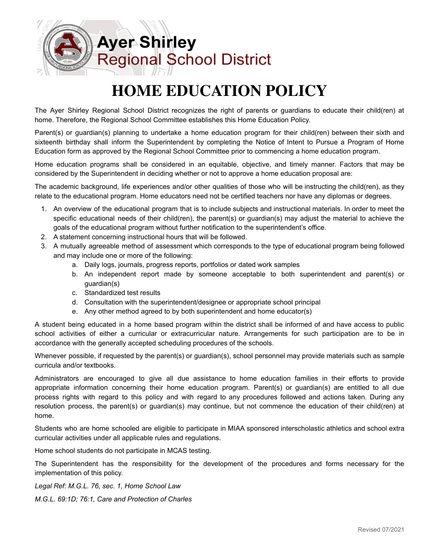

## **HOME EDUCATION POLICY**

The Ayer Shirley Regional School District recognizes the right of parents or guardians to educate their child(ren) at home. Therefore, the Regional School Committee establishes this Home Education Policy.

Parent(s) or guardian(s) planning to undertake a home education program for their child(ren) between their sixth and sixteenth birthday shall inform the Superintendent by completing the Notice of Intent to Pursue a Program of Home Education form as approved by the Regional School Committee prior to commencing a home education program.

Home education programs shall be considered in an equitable, objective, and timely manner. Factors that may be considered by the Superintendent in deciding whether or not to approve a home education proposal are:

The academic background, life experiences and/or other qualities of those who will be instructing the child(ren), as they relate to the educational program. Home educators need not be certified teachers nor have any diplomas or degrees.

- 1. An overview of the educational program that is to include subjects and instructional materials. In order to meet the specific educational needs of their child(ren), the parent(s) or guardian(s) may adjust the material to achieve the goals of the educational program without further notification to the superintendent's office.
- 2. A statement concerning instructional hours that will be followed.
- 3. A mutually agreeable method of assessment which corresponds to the type of educational program being followed and may include one or more of the following:
	- a. Daily logs, journals, progress reports, portfolios or dated work samples
	- b. An independent report made by someone acceptable to both superintendent and parent(s) or guardian(s)
	- c. Standardized test results
	- d. Consultation with the superintendent/designee or appropriate school principal
	- e. Any other method agreed to by both superintendent and home educator(s)

A student being educated in a home based program within the district shall be informed of and have access to public school activities of either a curricular or extracurricular nature. Arrangements for such participation are to be in accordance with the generally accepted scheduling procedures of the schools.

Whenever possible, if requested by the parent(s) or guardian(s), school personnel may provide materials such as sample curricula and/or textbooks.

Administrators are encouraged to give all due assistance to home education families in their efforts to provide appropriate information concerning their home education program. Parent(s) or guardian(s) are entitled to all due process rights with regard to this policy and with regard to any procedures followed and actions taken. During any resolution process, the parent(s) or guardian(s) may continue, but not commence the education of their child(ren) at home.

Students who are home schooled are eligible to participate in MIAA sponsored interscholastic athletics and school extra curricular activities under all applicable rules and regulations.

Home school students do not participate in MCAS testing.

The Superintendent has the responsibility for the development of the procedures and forms necessary for the implementation of this policy.

*Legal Ref: M.G.L. 76, sec. 1, Home School Law M.G.L. 69:1D; 76:1, Care and Protection of Charles*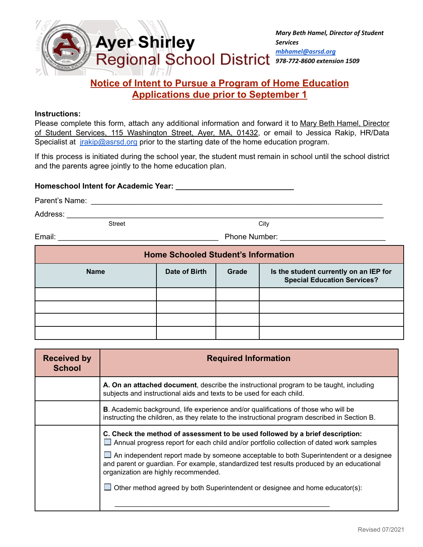

## **Notice of Intent to Pursue a Program of Home Education Applications due prior to September 1**

## **Instructions:**

Please complete this form, attach any additional information and forward it to Mary Beth Hamel, Director of Student Services, 115 Washington Street, Ayer, MA, 01432, or email to Jessica Rakip, HR/Data Specialist at *irakip@asrsd.org* prior to the starting date of the home education program.

If this process is initiated during the school year, the student must remain in school until the school district and the parents agree jointly to the home education plan.

## **Homeschool Intent for Academic Year: \_\_\_\_\_\_\_\_\_\_\_\_\_\_\_\_\_\_\_\_\_\_\_\_\_\_\_\_**

| Parent's Name: |  |
|----------------|--|
|                |  |
|                |  |

Address: \_\_\_\_\_\_\_\_\_\_\_\_\_\_\_\_\_\_\_\_\_\_\_\_\_\_\_\_\_\_\_\_\_\_\_\_\_\_\_\_\_\_\_\_\_\_\_\_\_\_\_\_\_\_\_\_\_\_\_\_\_\_\_\_\_\_\_\_\_\_\_\_\_\_\_

Street City

Email: Email: **Email: Email: Email: Email: Email: Email: Email: Email: Email: Email: Email: Email: Email: Email: Email: Email: Email: Email: EMAIL: EMAIL: EMAIL: EMAIL: EMAIL:**

**Home Schooled Student's Information Name Date of Birth Grade Is the student currently on an IEP for Special Education Services?**

| <b>Received by</b><br><b>School</b> | <b>Required Information</b>                                                                                                                                                                                                                                                                                                                                                                                                                                                                          |
|-------------------------------------|------------------------------------------------------------------------------------------------------------------------------------------------------------------------------------------------------------------------------------------------------------------------------------------------------------------------------------------------------------------------------------------------------------------------------------------------------------------------------------------------------|
|                                     | A. On an attached document, describe the instructional program to be taught, including<br>subjects and instructional aids and texts to be used for each child.                                                                                                                                                                                                                                                                                                                                       |
|                                     | <b>B.</b> Academic background, life experience and/or qualifications of those who will be<br>instructing the children, as they relate to the instructional program described in Section B.                                                                                                                                                                                                                                                                                                           |
|                                     | C. Check the method of assessment to be used followed by a brief description:<br>$\Box$ Annual progress report for each child and/or portfolio collection of dated work samples<br>$\Box$ An independent report made by someone acceptable to both Superintendent or a designee<br>and parent or guardian. For example, standardized test results produced by an educational<br>organization are highly recommended.<br>Other method agreed by both Superintendent or designee and home educator(s): |
|                                     |                                                                                                                                                                                                                                                                                                                                                                                                                                                                                                      |